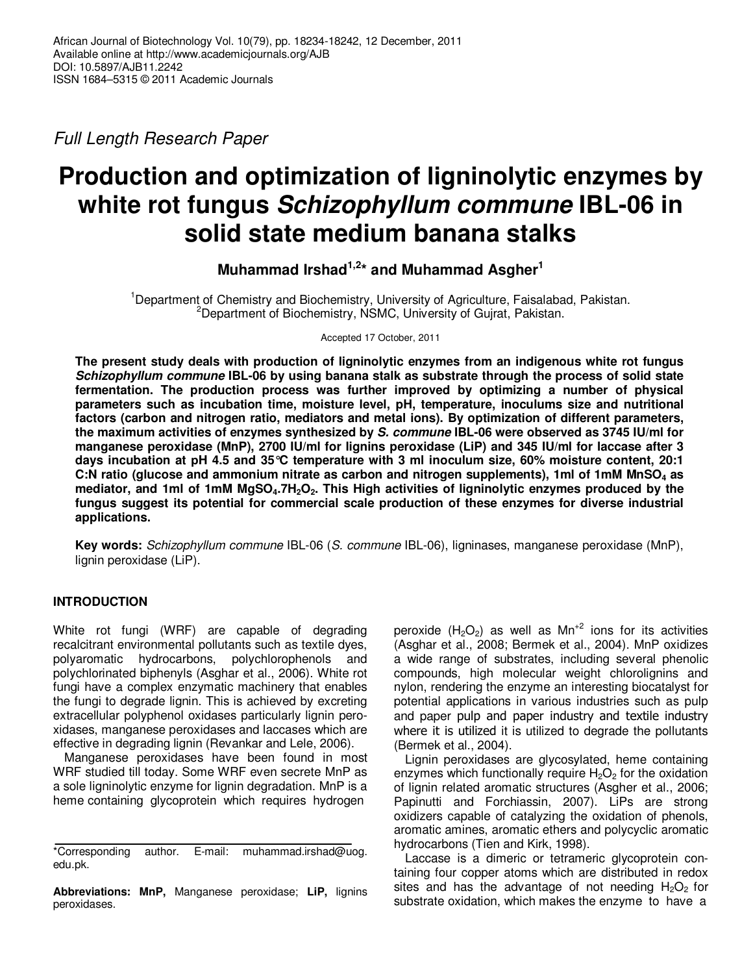Full Length Research Paper

# **Production and optimization of ligninolytic enzymes by white rot fungus Schizophyllum commune IBL-06 in solid state medium banana stalks**

**Muhammad Irshad1,2\* and Muhammad Asgher<sup>1</sup>**

<sup>1</sup>Department of Chemistry and Biochemistry, University of Agriculture, Faisalabad, Pakistan. <sup>2</sup>Department of Biochemistry, NSMC, University of Gujrat, Pakistan.

Accepted 17 October, 2011

**The present study deals with production of ligninolytic enzymes from an indigenous white rot fungus Schizophyllum commune IBL-06 by using banana stalk as substrate through the process of solid state fermentation. The production process was further improved by optimizing a number of physical parameters such as incubation time, moisture level, pH, temperature, inoculums size and nutritional factors (carbon and nitrogen ratio, mediators and metal ions). By optimization of different parameters, the maximum activities of enzymes synthesized by S. commune IBL-06 were observed as 3745 IU/ml for manganese peroxidase (MnP), 2700 IU/ml for lignins peroxidase (LiP) and 345 IU/ml for laccase after 3 days incubation at рH 4.5 and 35°C temperature with 3 ml inoculum size, 60% moisture content, 20:1 C:N ratio (glucose and ammonium nitrate as carbon and nitrogen supplements), 1ml of 1mM MnSO4 as mediator, and 1ml of 1mM MgSO4.7H2O2. This High activities of ligninolytic enzymes produced by the fungus suggest its potential for commercial scale production of these enzymes for diverse industrial applications.** 

**Key words:** Schizophyllum commune IBL-06 (S. commune IBL-06), ligninases, manganese peroxidase (MnP), lignin peroxidase (LiP).

# **INTRODUCTION**

White rot fungi (WRF) are capable of degrading recalcitrant environmental pollutants such as textile dyes, polyaromatic hydrocarbons, polychlorophenols and polychlorinated biphenyls (Asghar et al., 2006). White rot fungi have a complex enzymatic machinery that enables the fungi to degrade lignin. This is achieved by excreting extracellular polyphenol oxidases particularly lignin peroxidases, manganese peroxidases and laccases which are effective in degrading lignin (Revankar and Lele, 2006).

Manganese peroxidases have been found in most WRF studied till today. Some WRF even secrete MnP as a sole ligninolytic enzyme for lignin degradation. MnP is a heme containing glycoprotein which requires hydrogen

**Abbreviations: MnP,** Manganese peroxidase; **LiP,** lignins peroxidases.

peroxide  $(H_2O_2)$  as well as  $Mn^{2}$  ions for its activities (Asghar et al., 2008; Bermek et al., 2004). MnP oxidizes a wide range of substrates, including several phenolic compounds, high molecular weight chlorolignins and nylon, rendering the enzyme an interesting biocatalyst for potential applications in various industries such as pulp and paper pulp and paper industry and textile industry where it is utilized it is utilized to degrade the pollutants (Bermek et al., 2004).

Lignin peroxidases are glycosylated, heme containing enzymes which functionally require  $H_2O_2$  for the oxidation of lignin related aromatic structures (Asgher et al., 2006; Papinutti and Forchiassin, 2007). LiPs are strong oxidizers capable of catalyzing the oxidation of phenols, aromatic amines, aromatic ethers and polycyclic aromatic hydrocarbons (Tien and Kirk, 1998).

Laccase is a dimeric or tetrameric glycoprotein containing four copper atoms which are distributed in redox sites and has the advantage of not needing  $H_2O_2$  for substrate oxidation, which makes the enzyme to have a

<sup>\*</sup>Corresponding author. E-mail: muhammad.irshad@uog. edu.pk.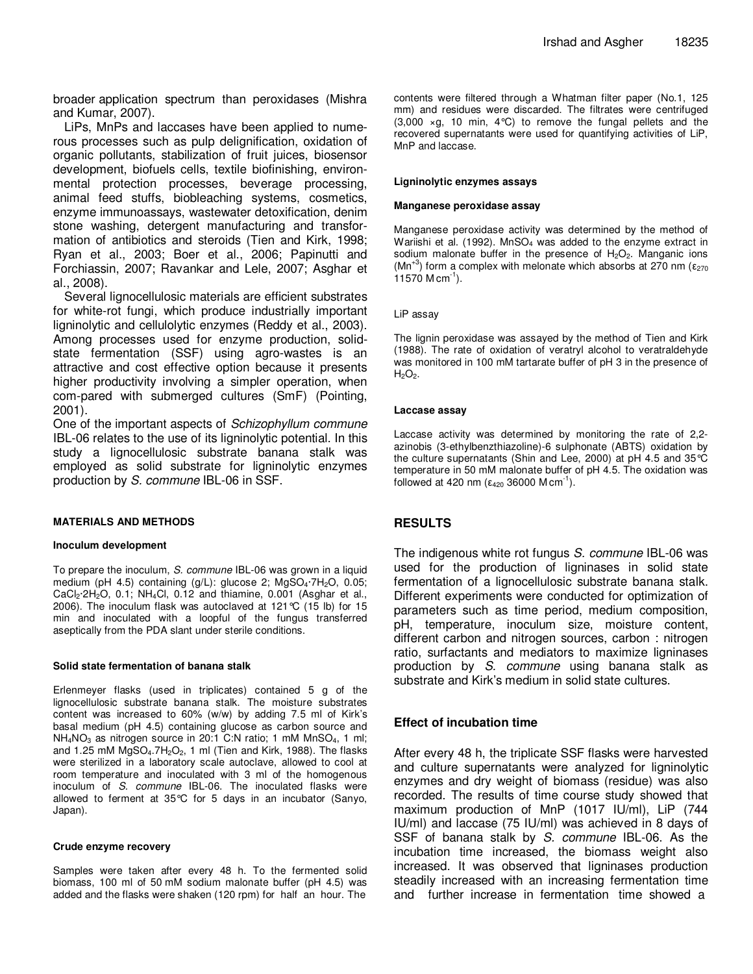broader application spectrum than peroxidases (Mishra and Kumar, 2007).

LiPs, MnPs and laccases have been applied to numerous processes such as pulp delignification, oxidation of organic pollutants, stabilization of fruit juices, biosensor development, biofuels cells, textile biofinishing, environmental protection processes, beverage processing, animal feed stuffs, biobleaching systems, cosmetics, enzyme immunoassays, wastewater detoxification, denim stone washing, detergent manufacturing and transformation of antibiotics and steroids (Tien and Kirk, 1998; Ryan et al., 2003; Boer et al., 2006; Papinutti and Forchiassin, 2007; Ravankar and Lele, 2007; Asghar et al., 2008).

Several lignocellulosic materials are efficient substrates for white-rot fungi, which produce industrially important ligninolytic and cellulolytic enzymes (Reddy et al., 2003). Among processes used for enzyme production, solidstate fermentation (SSF) using agro-wastes is an attractive and cost effective option because it presents higher productivity involving a simpler operation, when com-pared with submerged cultures (SmF) (Pointing, 2001).

One of the important aspects of Schizophyllum commune IBL-06 relates to the use of its ligninolytic potential. In this study a lignocellulosic substrate banana stalk was employed as solid substrate for ligninolytic enzymes production by S. commune IBL-06 in SSF.

## **MATERIALS AND METHODS**

## **Inoculum development**

To prepare the inoculum, S. commune IBL-06 was grown in a liquid medium (pH 4.5) containing (g/L): glucose 2; MgSO<sub>4</sub>·7H<sub>2</sub>O, 0.05;  $CaCl<sub>2</sub>·2H<sub>2</sub>O$ , 0.1; NH<sub>4</sub>Cl, 0.12 and thiamine, 0.001 (Asghar et al., 2006). The inoculum flask was autoclaved at 121°C (15 lb) for 15 min and inoculated with a loopful of the fungus transferred aseptically from the PDA slant under sterile conditions.

## **Solid state fermentation of banana stalk**

Erlenmeyer flasks (used in triplicates) contained 5 g of the lignocellulosic substrate banana stalk. The moisture substrates content was increased to 60% (w/w) by adding 7.5 ml of Kirk's basal medium (pH 4.5) containing glucose as carbon source and  $NH<sub>4</sub>NO<sub>3</sub>$  as nitrogen source in 20:1 C:N ratio; 1 mM MnSO<sub>4</sub>, 1 ml; and 1.25 mM  $MgSO<sub>4</sub>$ .7H<sub>2</sub>O<sub>2</sub>, 1 ml (Tien and Kirk, 1988). The flasks were sterilized in a laboratory scale autoclave, allowed to cool at room temperature and inoculated with 3 ml of the homogenous inoculum of S. commune IBL-06. The inoculated flasks were allowed to ferment at 35°C for 5 days in an incubator (Sanyo, Japan).

#### **Crude enzyme recovery**

Samples were taken after every 48 h. To the fermented solid biomass, 100 ml of 50 mM sodium malonate buffer (pH 4.5) was added and the flasks were shaken (120 rpm) for half an hour. The

contents were filtered through a Whatman filter paper (No.1, 125 mm) and residues were discarded. The filtrates were centrifuged  $(3,000 \times g, 10 \text{ min}, 4^{\circ}\text{C})$  to remove the fungal pellets and the recovered supernatants were used for quantifying activities of LiP, MnP and laccase.

## **Ligninolytic enzymes assays**

#### **Manganese peroxidase assay**

Manganese peroxidase activity was determined by the method of Wariishi et al. (1992).  $MnSO<sub>4</sub>$  was added to the enzyme extract in sodium malonate buffer in the presence of  $H_2O_2$ . Manganic ions (Mn<sup>+3</sup>) form a complex with melonate which absorbs at 270 nm ( $\epsilon_{270}$ ) 11570  $M \text{ cm}^{-1}$ ).

## LiP assay

The lignin peroxidase was assayed by the method of Tien and Kirk (1988). The rate of oxidation of veratryl alcohol to veratraldehyde was monitored in 100 mM tartarate buffer of pH 3 in the presence of  $H_2O_2$ .

## **Laccase assay**

Laccase activity was determined by monitoring the rate of 2,2 azinobis (3-ethylbenzthiazoline)-6 sulphonate (ABTS) oxidation by the culture supernatants (Shin and Lee, 2000) at pH 4.5 and 35°C temperature in 50 mM malonate buffer of pH 4.5. The oxidation was followed at 420 nm ( $ε_{420}$  36000 M cm<sup>-1</sup>).

## **RESULTS**

The indigenous white rot fungus S. commune IBL-06 was used for the production of ligninases in solid state fermentation of a lignocellulosic substrate banana stalk. Different experiments were conducted for optimization of parameters such as time period, medium composition, pH, temperature, inoculum size, moisture content, different carbon and nitrogen sources, carbon : nitrogen ratio, surfactants and mediators to maximize ligninases production by S. commune using banana stalk as substrate and Kirk's medium in solid state cultures.

## **Effect of incubation time**

After every 48 h, the triplicate SSF flasks were harvested and culture supernatants were analyzed for ligninolytic enzymes and dry weight of biomass (residue) was also recorded. The results of time course study showed that maximum production of MnP (1017 IU/ml), LiP (744 IU/ml) and laccase (75 IU/ml) was achieved in 8 days of SSF of banana stalk by S. commune IBL-06. As the incubation time increased, the biomass weight also increased. It was observed that ligninases production steadily increased with an increasing fermentation time and further increase in fermentation time showed a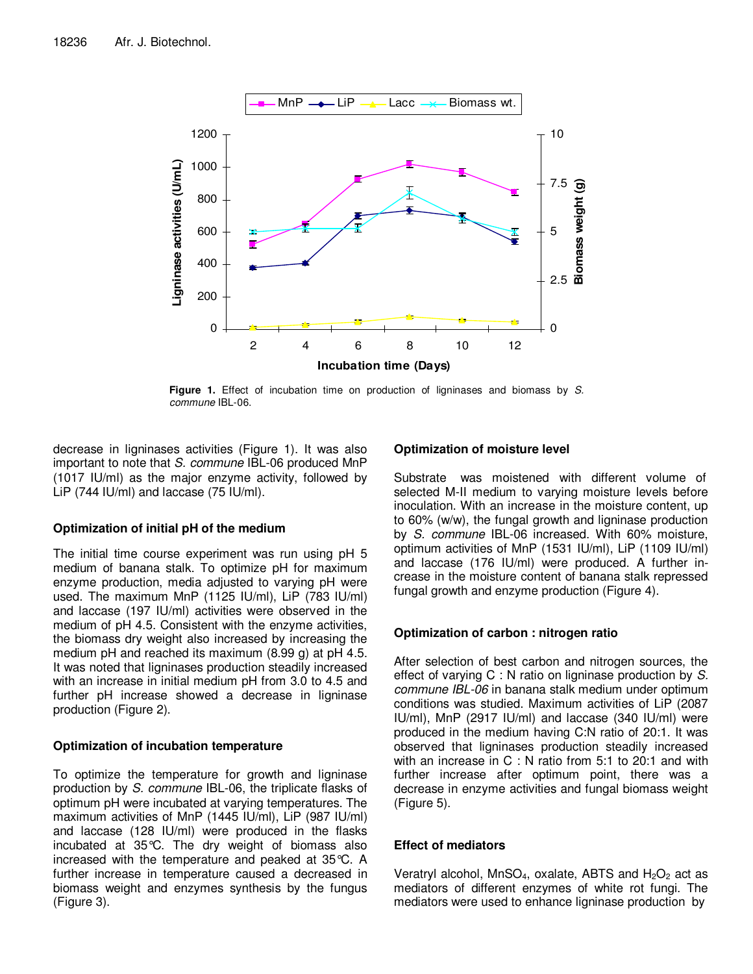

**Figure 1.** Effect of incubation time on production of ligninases and biomass by S. commune IBL-06.

decrease in ligninases activities (Figure 1). It was also important to note that S. commune IBL-06 produced MnP (1017 IU/ml) as the major enzyme activity, followed by LiP (744 IU/ml) and laccase (75 IU/ml).

# **Optimization of initial pH of the medium**

The initial time course experiment was run using pH 5 medium of banana stalk. To optimize pH for maximum enzyme production, media adjusted to varying pH were used. The maximum MnP (1125 IU/ml), LiP (783 IU/ml) and laccase (197 IU/ml) activities were observed in the medium of pH 4.5. Consistent with the enzyme activities, the biomass dry weight also increased by increasing the medium pH and reached its maximum (8.99 g) at pH 4.5. It was noted that ligninases production steadily increased with an increase in initial medium pH from 3.0 to 4.5 and further pH increase showed a decrease in ligninase production (Figure 2).

# **Optimization of incubation temperature**

To optimize the temperature for growth and ligninase production by S. commune IBL-06, the triplicate flasks of optimum pH were incubated at varying temperatures. The maximum activities of MnP (1445 IU/ml), LiP (987 IU/ml) and laccase (128 IU/ml) were produced in the flasks incubated at 35°C. The dry weight of biomass also increased with the temperature and peaked at 35°C. A further increase in temperature caused a decreased in biomass weight and enzymes synthesis by the fungus (Figure 3).

# **Optimization of moisture level**

Substrate was moistened with different volume of selected M-II medium to varying moisture levels before inoculation. With an increase in the moisture content, up to 60% (w/w), the fungal growth and ligninase production by S. commune IBL-06 increased. With 60% moisture, optimum activities of MnP (1531 IU/ml), LiP (1109 IU/ml) and laccase (176 IU/ml) were produced. A further increase in the moisture content of banana stalk repressed fungal growth and enzyme production (Figure 4).

# **Optimization of carbon : nitrogen ratio**

After selection of best carbon and nitrogen sources, the effect of varying C : N ratio on ligninase production by S. commune IBL-06 in banana stalk medium under optimum conditions was studied. Maximum activities of LiP (2087 IU/ml), MnP (2917 IU/ml) and laccase (340 IU/ml) were produced in the medium having C:N ratio of 20:1. It was observed that ligninases production steadily increased with an increase in C : N ratio from 5:1 to 20:1 and with further increase after optimum point, there was a decrease in enzyme activities and fungal biomass weight (Figure 5).

# **Effect of mediators**

Veratryl alcohol, MnSO<sub>4</sub>, oxalate, ABTS and  $H_2O_2$  act as mediators of different enzymes of white rot fungi. The mediators were used to enhance ligninase production by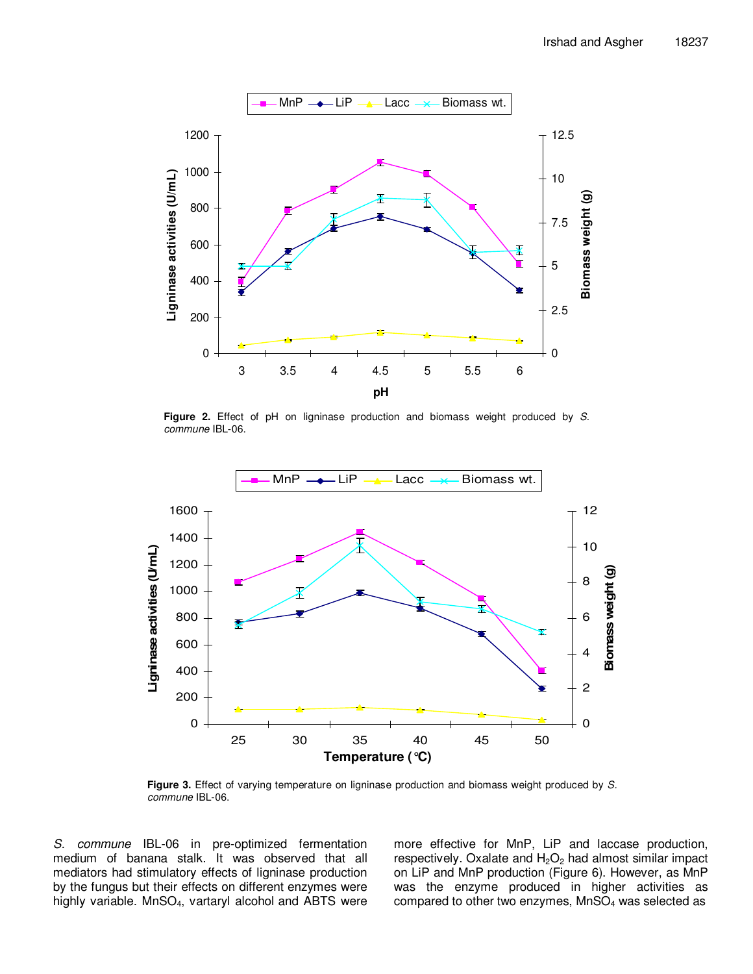

**Figure 2.** Effect of pH on ligninase production and biomass weight produced by S. commune IBL-06.



Figure 3. Effect of varying temperature on ligninase production and biomass weight produced by S. commune IBL-06.

S. commune IBL-06 in pre-optimized fermentation medium of banana stalk. It was observed that all mediators had stimulatory effects of ligninase production by the fungus but their effects on different enzymes were highly variable. MnSO<sub>4</sub>, vartaryl alcohol and ABTS were more effective for MnP, LiP and laccase production, respectively. Oxalate and  $H_2O_2$  had almost similar impact on LiP and MnP production (Figure 6). However, as MnP was the enzyme produced in higher activities as compared to other two enzymes,  $MnSO<sub>4</sub>$  was selected as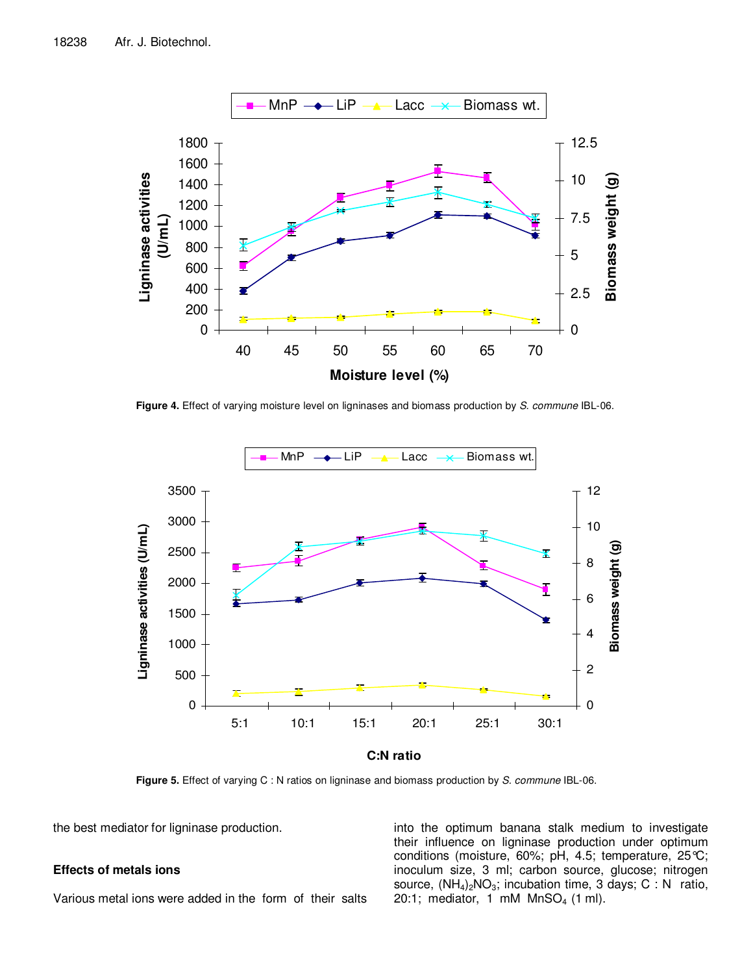

Figure 4. Effect of varying moisture level on ligninases and biomass production by S. commune IBL-06.



**Figure 5.** Effect of varying C : N ratios on ligninase and biomass production by S. commune IBL-06.

the best mediator for ligninase production.

## **Effects of metals ions**

Various metal ions were added in the form of their salts

into the optimum banana stalk medium to investigate their influence on ligninase production under optimum conditions (moisture, 60%; pH, 4.5; temperature, 25°C; inoculum size, 3 ml; carbon source, glucose; nitrogen source,  $(NH_4)_2NO_3$ ; incubation time, 3 days; C : N ratio, 20:1; mediator, 1 mM  $MnSO<sub>4</sub>$  (1 ml).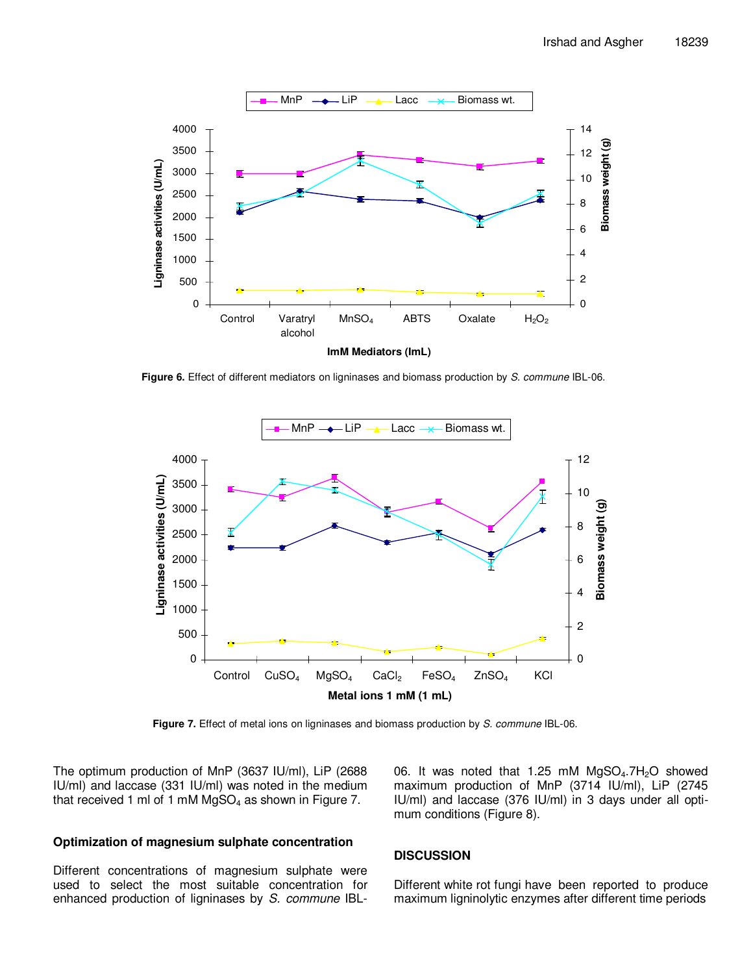

Figure 6. Effect of different mediators on ligninases and biomass production by S. commune IBL-06.



Figure 7. Effect of metal ions on ligninases and biomass production by S. commune IBL-06.

The optimum production of MnP (3637 IU/ml), LiP (2688 IU/ml) and laccase (331 IU/ml) was noted in the medium that received 1 ml of 1 mM  $MgSO<sub>4</sub>$  as shown in Figure 7.

# **Optimization of magnesium sulphate concentration**

Different concentrations of magnesium sulphate were used to select the most suitable concentration for enhanced production of ligninases by S. commune IBL- 06. It was noted that 1.25 mM  $MqSO<sub>4</sub>$ .7H<sub>2</sub>O showed maximum production of MnP (3714 IU/ml), LiP (2745 IU/ml) and laccase (376 IU/ml) in 3 days under all optimum conditions (Figure 8).

## **DISCUSSION**

Different white rot fungi have been reported to produce maximum ligninolytic enzymes after different time periods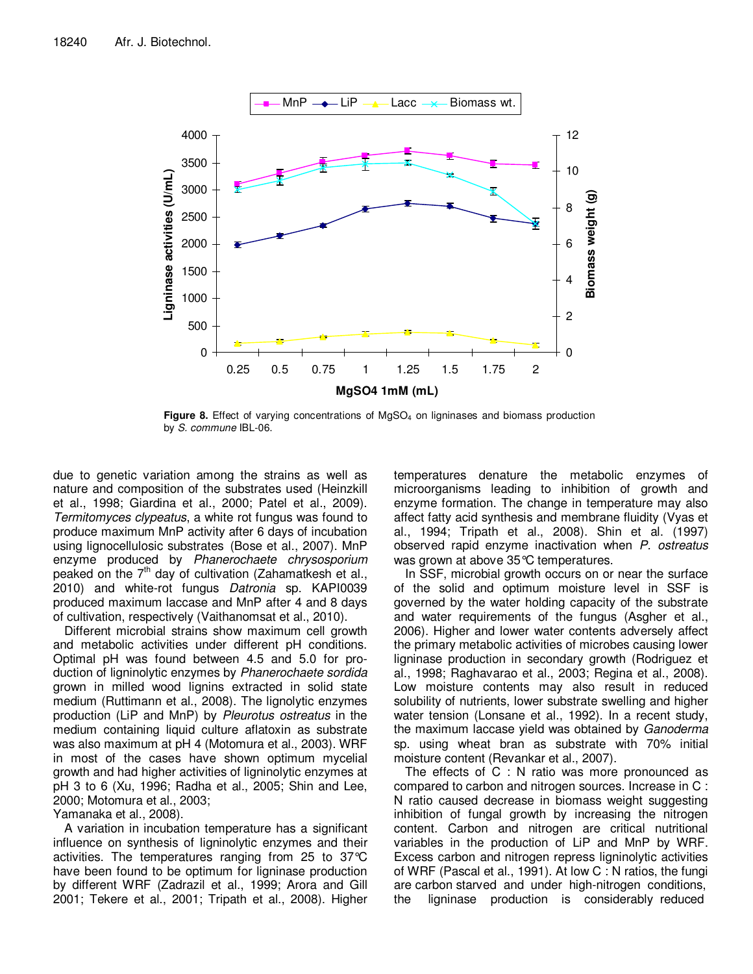

**Figure 8.** Effect of varying concentrations of MgSO<sub>4</sub> on ligninases and biomass production by S. commune IBL-06.

due to genetic variation among the strains as well as nature and composition of the substrates used (Heinzkill et al., 1998; Giardina et al., 2000; Patel et al., 2009). Termitomyces clypeatus, a white rot fungus was found to produce maximum MnP activity after 6 days of incubation using lignocellulosic substrates (Bose et al., 2007). MnP enzyme produced by Phanerochaete chrysosporium peaked on the  $7<sup>th</sup>$  day of cultivation (Zahamatkesh et al., 2010) and white-rot fungus Datronia sp. KAPI0039 produced maximum laccase and MnP after 4 and 8 days of cultivation, respectively (Vaithanomsat et al., 2010).

Different microbial strains show maximum cell growth and metabolic activities under different pH conditions. Optimal pH was found between 4.5 and 5.0 for production of ligninolytic enzymes by Phanerochaete sordida grown in milled wood lignins extracted in solid state medium (Ruttimann et al., 2008). The lignolytic enzymes production (LiP and MnP) by Pleurotus ostreatus in the medium containing liquid culture aflatoxin as substrate was also maximum at pH 4 (Motomura et al., 2003). WRF in most of the cases have shown optimum mycelial growth and had higher activities of ligninolytic enzymes at pH 3 to 6 (Xu, 1996; Radha et al., 2005; Shin and Lee, 2000; Motomura et al., 2003;

Yamanaka et al., 2008).

A variation in incubation temperature has a significant influence on synthesis of ligninolytic enzymes and their activities. The temperatures ranging from 25 to 37°C have been found to be optimum for ligninase production by different WRF (Zadrazil et al., 1999; Arora and Gill 2001; Tekere et al., 2001; Tripath et al., 2008). Higher temperatures denature the metabolic enzymes of microorganisms leading to inhibition of growth and enzyme formation. The change in temperature may also affect fatty acid synthesis and membrane fluidity (Vyas et al., 1994; Tripath et al., 2008). Shin et al. (1997) observed rapid enzyme inactivation when P. ostreatus was grown at above 35°C temperatures.

In SSF, microbial growth occurs on or near the surface of the solid and optimum moisture level in SSF is governed by the water holding capacity of the substrate and water requirements of the fungus (Asgher et al., 2006). Higher and lower water contents adversely affect the primary metabolic activities of microbes causing lower ligninase production in secondary growth (Rodriguez et al., 1998; Raghavarao et al., 2003; Regina et al., 2008). Low moisture contents may also result in reduced solubility of nutrients, lower substrate swelling and higher water tension (Lonsane et al., 1992). In a recent study, the maximum laccase yield was obtained by *Ganoderma* sp. using wheat bran as substrate with 70% initial moisture content (Revankar et al., 2007).

The effects of C : N ratio was more pronounced as compared to carbon and nitrogen sources. Increase in C : N ratio caused decrease in biomass weight suggesting inhibition of fungal growth by increasing the nitrogen content. Carbon and nitrogen are critical nutritional variables in the production of LiP and MnP by WRF. Excess carbon and nitrogen repress ligninolytic activities of WRF (Pascal et al., 1991). At low C : N ratios, the fungi are carbon starved and under high-nitrogen conditions, the ligninase production is considerably reduced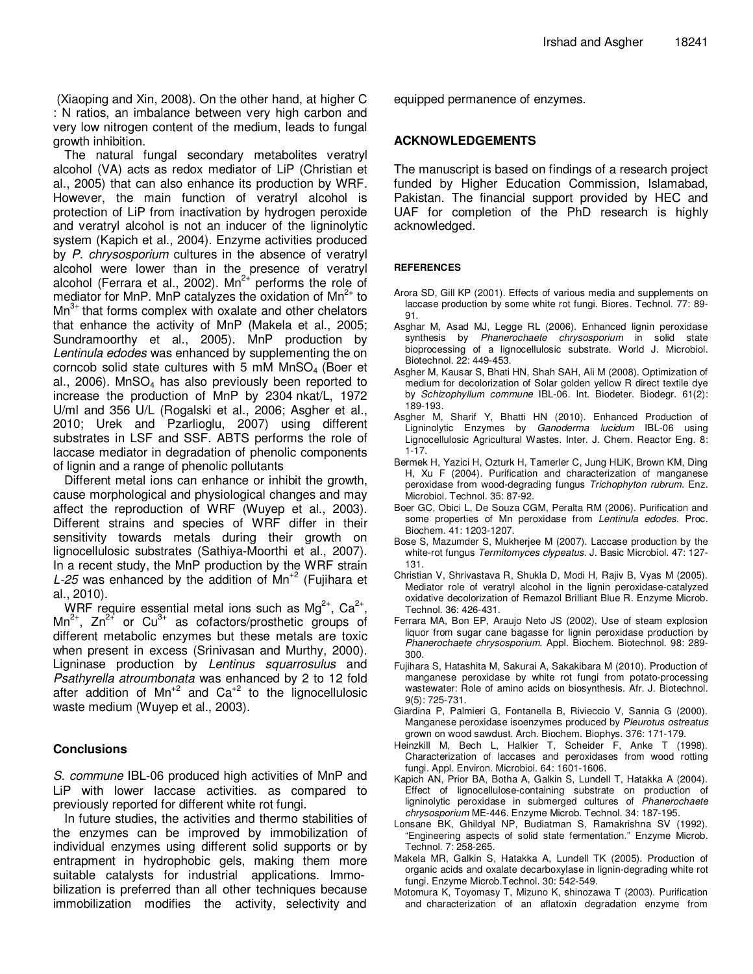(Xiaoping and Xin, 2008). On the other hand, at higher C : N ratios, an imbalance between very high carbon and very low nitrogen content of the medium, leads to fungal growth inhibition.

The natural fungal secondary metabolites veratryl alcohol (VA) acts as redox mediator of LiP (Christian et al., 2005) that can also enhance its production by WRF. However, the main function of veratryl alcohol is protection of LiP from inactivation by hydrogen peroxide and veratryl alcohol is not an inducer of the ligninolytic system (Kapich et al., 2004). Enzyme activities produced by P. chrysosporium cultures in the absence of veratryl alcohol were lower than in the presence of veratryl alcohol (Ferrara et al., 2002).  $Mn^{2+}$  performs the role of mediator for MnP. MnP catalyzes the oxidation of  $Mn^{2+}$  to  $Mn^{3+}$  that forms complex with oxalate and other chelators that enhance the activity of MnP (Makela et al., 2005; Sundramoorthy et al., 2005). MnP production by Lentinula edodes was enhanced by supplementing the on corncob solid state cultures with 5 mM  $MnSO<sub>4</sub>$  (Boer et al., 2006). MnSO<sub>4</sub> has also previously been reported to increase the production of MnP by 2304 nkat/L, 1972 U/ml and 356 U/L (Rogalski et al., 2006; Asgher et al., 2010; Urek and Pzarlioglu, 2007) using different substrates in LSF and SSF. ABTS performs the role of laccase mediator in degradation of phenolic components of lignin and a range of phenolic pollutants

Different metal ions can enhance or inhibit the growth, cause morphological and physiological changes and may affect the reproduction of WRF (Wuyep et al., 2003). Different strains and species of WRF differ in their sensitivity towards metals during their growth on lignocellulosic substrates (Sathiya-Moorthi et al., 2007). In a recent study, the MnP production by the WRF strain L-25 was enhanced by the addition of  $Mn^{2}$  (Fujihara et al., 2010).

WRF require essential metal ions such as  $Mg^{2+}$ , Ca<sup>2+</sup>,  $Mn^{2+}$ ,  $Zn^{2+}$  or  $Cu^{3+}$  as cofactors/prosthetic groups of different metabolic enzymes but these metals are toxic when present in excess (Srinivasan and Murthy, 2000). Ligninase production by Lentinus squarrosulus and Psathyrella atroumbonata was enhanced by 2 to 12 fold after addition of  $Mn^{2}$  and Ca<sup>+2</sup> to the lignocellulosic waste medium (Wuyep et al., 2003).

# **Conclusions**

S. commune IBL-06 produced high activities of MnP and LiP with lower laccase activities. as compared to previously reported for different white rot fungi.

In future studies, the activities and thermo stabilities of the enzymes can be improved by immobilization of individual enzymes using different solid supports or by entrapment in hydrophobic gels, making them more suitable catalysts for industrial applications. Immobilization is preferred than all other techniques because immobilization modifies the activity, selectivity and

equipped permanence of enzymes.

# **ACKNOWLEDGEMENTS**

The manuscript is based on findings of a research project funded by Higher Education Commission, Islamabad, Pakistan. The financial support provided by HEC and UAF for completion of the PhD research is highly acknowledged.

# **REFERENCES**

- Arora SD, Gill KP (2001). Effects of various media and supplements on laccase production by some white rot fungi. Biores. Technol. 77: 89- 91.
- Asghar M, Asad MJ, Legge RL (2006). Enhanced lignin peroxidase synthesis by Phanerochaete chrysosporium in solid state bioprocessing of a lignocellulosic substrate. World J. Microbiol. Biotechnol. 22: 449-453.
- Asgher M, Kausar S, Bhati HN, Shah SAH, Ali M (2008). Optimization of medium for decolorization of Solar golden yellow R direct textile dye by Schizophyllum commune IBL-06. Int. Biodeter. Biodegr. 61(2): 189-193.
- Asgher M, Sharif Y, Bhatti HN (2010). Enhanced Production of Ligninolytic Enzymes by Ganoderma lucidum IBL-06 using Lignocellulosic Agricultural Wastes. Inter. J. Chem. Reactor Eng. 8: 1-17.
- Bermek H, Yazici H, Ozturk H, Tamerler C, Jung HLiK, Brown KM, Ding H, Xu F (2004). Purification and characterization of manganese peroxidase from wood-degrading fungus Trichophyton rubrum. Enz. Microbiol. Technol. 35: 87-92.
- Boer GC, Obici L, De Souza CGM, Peralta RM (2006). Purification and some properties of Mn peroxidase from Lentinula edodes. Proc. Biochem. 41: 1203-1207.
- Bose S, Mazumder S, Mukherjee M (2007). Laccase production by the white-rot fungus Termitomyces clypeatus. J. Basic Microbiol. 47: 127- 131.
- Christian V, Shrivastava R, Shukla D, Modi H, Rajiv B, Vyas M (2005). Mediator role of veratryl alcohol in the lignin peroxidase-catalyzed oxidative decolorization of Remazol Brilliant Blue R. Enzyme Microb. Technol. 36: 426-431.
- Ferrara MA, Bon EP, Araujo Neto JS (2002). Use of steam explosion liquor from sugar cane bagasse for lignin peroxidase production by Phanerochaete chrysosporium. Appl. Biochem. Biotechnol. 98: 289- 300.
- Fujihara S, Hatashita M, Sakurai A, Sakakibara M (2010). Production of manganese peroxidase by white rot fungi from potato-processing wastewater: Role of amino acids on biosynthesis. Afr. J. Biotechnol. 9(5): 725-731.
- Giardina P, Palmieri G, Fontanella B, Rivieccio V, Sannia G (2000). Manganese peroxidase isoenzymes produced by Pleurotus ostreatus grown on wood sawdust. Arch. Biochem. Biophys. 376: 171-179.
- Heinzkill M, Bech L, Halkier T, Scheider F, Anke T (1998). Characterization of laccases and peroxidases from wood rotting fungi. Appl. Environ. Microbiol. 64: 1601-1606.
- Kapich AN, Prior BA, Botha A, Galkin S, Lundell T, Hatakka A (2004). Effect of lignocellulose-containing substrate on production of ligninolytic peroxidase in submerged cultures of Phanerochaete chrysosporium ME-446. Enzyme Microb. Technol. 34: 187-195.
- Lonsane BK, Ghildyal NP, Budiatman S, Ramakrishna SV (1992). "Engineering aspects of solid state fermentation." Enzyme Microb. Technol. 7: 258-265.
- Makela MR, Galkin S, Hatakka A, Lundell TK (2005). Production of organic acids and oxalate decarboxylase in lignin-degrading white rot fungi. Enzyme Microb.Technol. 30: 542-549.
- Motomura K, Toyomasy T, Mizuno K, shinozawa T (2003). Purification and characterization of an aflatoxin degradation enzyme from